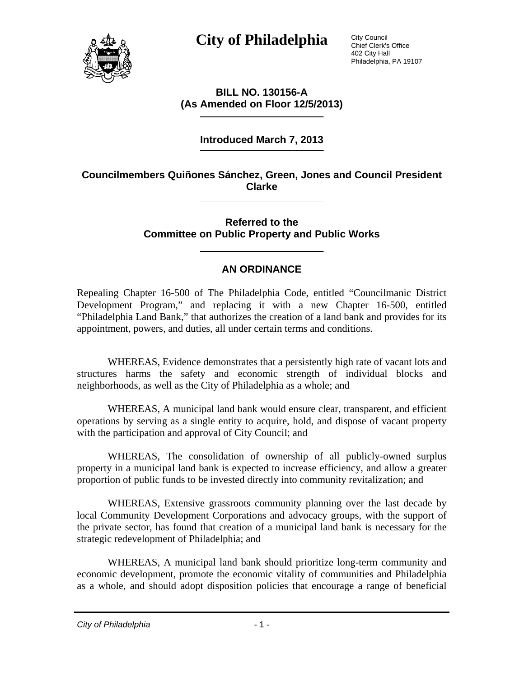

City Council Chief Clerk's Office 402 City Hall Philadelphia, PA 19107

**BILL NO. 130156-A (As Amended on Floor 12/5/2013)** 

#### **Introduced March 7, 2013**

#### **Councilmembers Quiñones Sánchez, Green, Jones and Council President Clarke**

#### **Referred to the Committee on Public Property and Public Works**

#### **AN ORDINANCE**

Repealing Chapter 16-500 of The Philadelphia Code, entitled "Councilmanic District Development Program," and replacing it with a new Chapter 16-500, entitled "Philadelphia Land Bank," that authorizes the creation of a land bank and provides for its appointment, powers, and duties, all under certain terms and conditions.

WHEREAS, Evidence demonstrates that a persistently high rate of vacant lots and structures harms the safety and economic strength of individual blocks and neighborhoods, as well as the City of Philadelphia as a whole; and

WHEREAS, A municipal land bank would ensure clear, transparent, and efficient operations by serving as a single entity to acquire, hold, and dispose of vacant property with the participation and approval of City Council; and

WHEREAS, The consolidation of ownership of all publicly-owned surplus property in a municipal land bank is expected to increase efficiency, and allow a greater proportion of public funds to be invested directly into community revitalization; and

WHEREAS, Extensive grassroots community planning over the last decade by local Community Development Corporations and advocacy groups, with the support of the private sector, has found that creation of a municipal land bank is necessary for the strategic redevelopment of Philadelphia; and

WHEREAS, A municipal land bank should prioritize long-term community and economic development, promote the economic vitality of communities and Philadelphia as a whole, and should adopt disposition policies that encourage a range of beneficial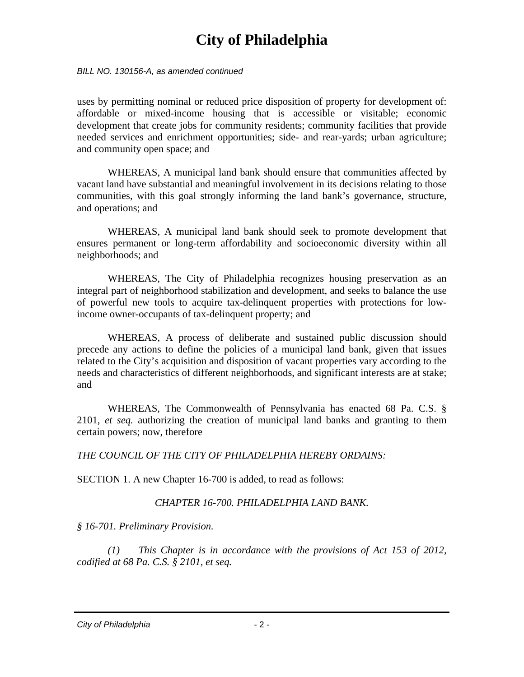#### *BILL NO. 130156-A, as amended continued*

uses by permitting nominal or reduced price disposition of property for development of: affordable or mixed-income housing that is accessible or visitable; economic development that create jobs for community residents; community facilities that provide needed services and enrichment opportunities; side- and rear-yards; urban agriculture; and community open space; and

WHEREAS, A municipal land bank should ensure that communities affected by vacant land have substantial and meaningful involvement in its decisions relating to those communities, with this goal strongly informing the land bank's governance, structure, and operations; and

WHEREAS, A municipal land bank should seek to promote development that ensures permanent or long-term affordability and socioeconomic diversity within all neighborhoods; and

WHEREAS, The City of Philadelphia recognizes housing preservation as an integral part of neighborhood stabilization and development, and seeks to balance the use of powerful new tools to acquire tax-delinquent properties with protections for lowincome owner-occupants of tax-delinquent property; and

WHEREAS, A process of deliberate and sustained public discussion should precede any actions to define the policies of a municipal land bank, given that issues related to the City's acquisition and disposition of vacant properties vary according to the needs and characteristics of different neighborhoods, and significant interests are at stake; and

WHEREAS, The Commonwealth of Pennsylvania has enacted 68 Pa. C.S. § 2101, *et seq.* authorizing the creation of municipal land banks and granting to them certain powers; now, therefore

#### *THE COUNCIL OF THE CITY OF PHILADELPHIA HEREBY ORDAINS:*

SECTION 1. A new Chapter 16-700 is added, to read as follows:

#### *CHAPTER 16-700. PHILADELPHIA LAND BANK.*

*§ 16-701. Preliminary Provision.*

 *(1) This Chapter is in accordance with the provisions of Act 153 of 2012, codified at 68 Pa. C.S. § 2101, et seq.*

#### *City of Philadelphia* - 2 -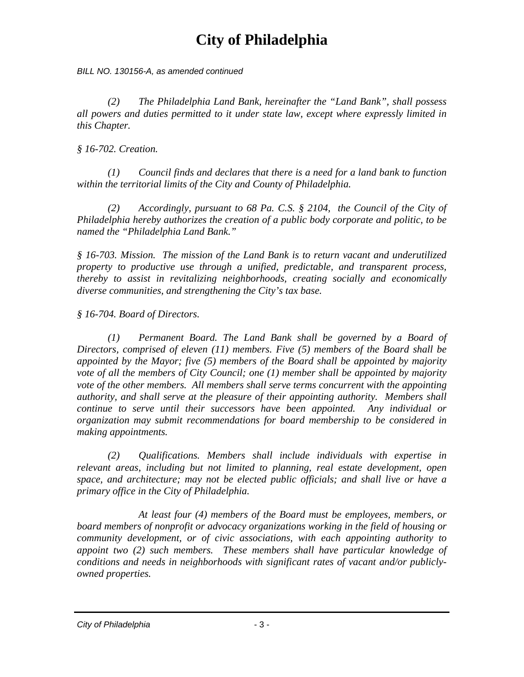#### *BILL NO. 130156-A, as amended continued*

 *(2) The Philadelphia Land Bank, hereinafter the "Land Bank", shall possess all powers and duties permitted to it under state law, except where expressly limited in this Chapter.* 

*§ 16-702. Creation.*

 *(1) Council finds and declares that there is a need for a land bank to function within the territorial limits of the City and County of Philadelphia.*

*(2) Accordingly, pursuant to 68 Pa. C.S. § 2104, the Council of the City of Philadelphia hereby authorizes the creation of a public body corporate and politic, to be named the "Philadelphia Land Bank."*

*§ 16-703. Mission. The mission of the Land Bank is to return vacant and underutilized property to productive use through a unified, predictable, and transparent process, thereby to assist in revitalizing neighborhoods, creating socially and economically diverse communities, and strengthening the City's tax base.* 

#### *§ 16-704. Board of Directors.*

 *(1) Permanent Board. The Land Bank shall be governed by a Board of Directors, comprised of eleven (11) members. Five (5) members of the Board shall be appointed by the Mayor; five (5) members of the Board shall be appointed by majority vote of all the members of City Council; one (1) member shall be appointed by majority vote of the other members. All members shall serve terms concurrent with the appointing authority, and shall serve at the pleasure of their appointing authority. Members shall continue to serve until their successors have been appointed. Any individual or organization may submit recommendations for board membership to be considered in making appointments.* 

*(2) Qualifications. Members shall include individuals with expertise in relevant areas, including but not limited to planning, real estate development, open space, and architecture; may not be elected public officials; and shall live or have a primary office in the City of Philadelphia.* 

*At least four (4) members of the Board must be employees, members, or board members of nonprofit or advocacy organizations working in the field of housing or community development, or of civic associations, with each appointing authority to appoint two (2) such members. These members shall have particular knowledge of conditions and needs in neighborhoods with significant rates of vacant and/or publiclyowned properties.* 

*City of Philadelphia* - 3 -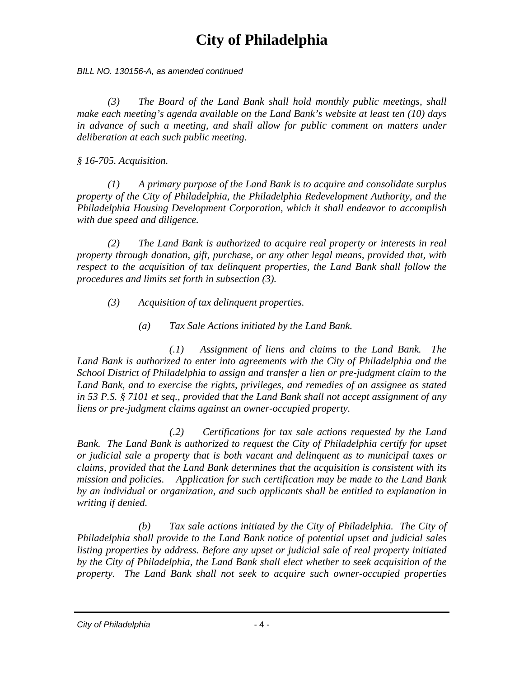*BILL NO. 130156-A, as amended continued* 

*(3) The Board of the Land Bank shall hold monthly public meetings, shall make each meeting's agenda available on the Land Bank's website at least ten (10) days in advance of such a meeting, and shall allow for public comment on matters under deliberation at each such public meeting.*

*§ 16-705. Acquisition.* 

*(1) A primary purpose of the Land Bank is to acquire and consolidate surplus property of the City of Philadelphia, the Philadelphia Redevelopment Authority, and the Philadelphia Housing Development Corporation, which it shall endeavor to accomplish with due speed and diligence.*

*(2) The Land Bank is authorized to acquire real property or interests in real property through donation, gift, purchase, or any other legal means, provided that, with respect to the acquisition of tax delinquent properties, the Land Bank shall follow the procedures and limits set forth in subsection (3).* 

- *(3) Acquisition of tax delinquent properties.* 
	- *(a) Tax Sale Actions initiated by the Land Bank.*

 *(.1) Assignment of liens and claims to the Land Bank. The Land Bank is authorized to enter into agreements with the City of Philadelphia and the School District of Philadelphia to assign and transfer a lien or pre-judgment claim to the Land Bank, and to exercise the rights, privileges, and remedies of an assignee as stated in 53 P.S. § 7101 et seq., provided that the Land Bank shall not accept assignment of any liens or pre-judgment claims against an owner-occupied property.* 

*(.2) Certifications for tax sale actions requested by the Land Bank. The Land Bank is authorized to request the City of Philadelphia certify for upset or judicial sale a property that is both vacant and delinquent as to municipal taxes or claims, provided that the Land Bank determines that the acquisition is consistent with its mission and policies. Application for such certification may be made to the Land Bank by an individual or organization, and such applicants shall be entitled to explanation in writing if denied.* 

*(b) Tax sale actions initiated by the City of Philadelphia. The City of Philadelphia shall provide to the Land Bank notice of potential upset and judicial sales listing properties by address. Before any upset or judicial sale of real property initiated by the City of Philadelphia, the Land Bank shall elect whether to seek acquisition of the property. The Land Bank shall not seek to acquire such owner-occupied properties*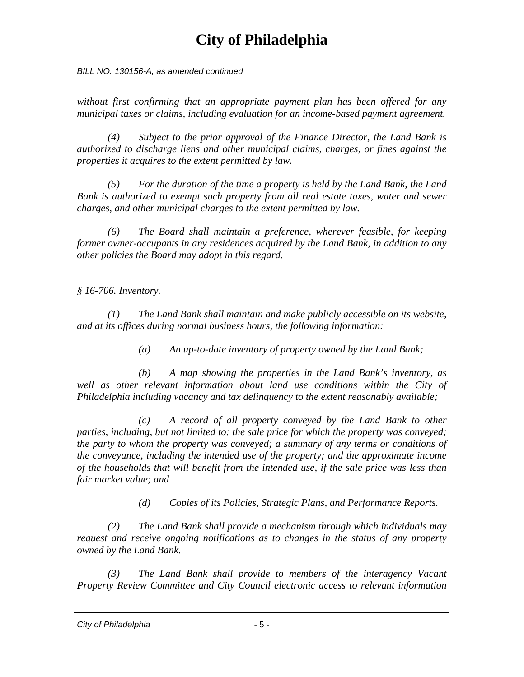*BILL NO. 130156-A, as amended continued* 

*without first confirming that an appropriate payment plan has been offered for any municipal taxes or claims, including evaluation for an income-based payment agreement.* 

 *(4) Subject to the prior approval of the Finance Director, the Land Bank is authorized to discharge liens and other municipal claims, charges, or fines against the properties it acquires to the extent permitted by law.* 

*(5) For the duration of the time a property is held by the Land Bank, the Land Bank is authorized to exempt such property from all real estate taxes, water and sewer charges, and other municipal charges to the extent permitted by law.*

*(6) The Board shall maintain a preference, wherever feasible, for keeping former owner-occupants in any residences acquired by the Land Bank, in addition to any other policies the Board may adopt in this regard.* 

*§ 16-706. Inventory.*

*(1) The Land Bank shall maintain and make publicly accessible on its website, and at its offices during normal business hours, the following information:*

 *(a) An up-to-date inventory of property owned by the Land Bank;*

*(b) A map showing the properties in the Land Bank's inventory, as*  well as other relevant information about land use conditions within the City of *Philadelphia including vacancy and tax delinquency to the extent reasonably available;* 

*(c) A record of all property conveyed by the Land Bank to other parties, including, but not limited to: the sale price for which the property was conveyed; the party to whom the property was conveyed; a summary of any terms or conditions of the conveyance, including the intended use of the property; and the approximate income of the households that will benefit from the intended use, if the sale price was less than fair market value; and* 

*(d) Copies of its Policies, Strategic Plans, and Performance Reports.*

*(2) The Land Bank shall provide a mechanism through which individuals may request and receive ongoing notifications as to changes in the status of any property owned by the Land Bank.*

*(3) The Land Bank shall provide to members of the interagency Vacant Property Review Committee and City Council electronic access to relevant information*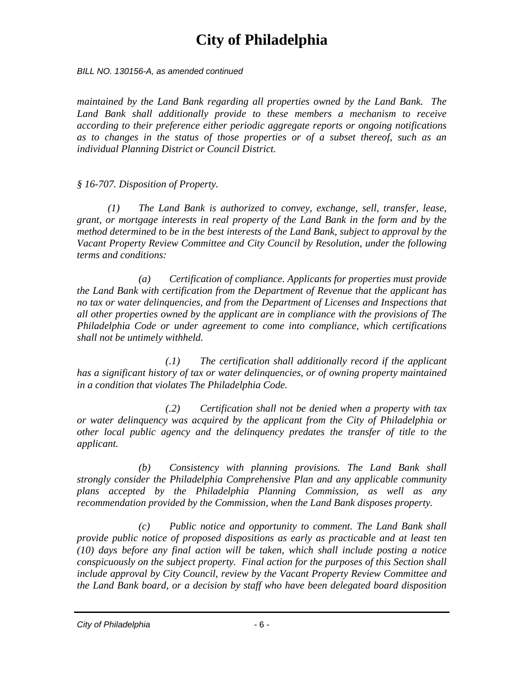*BILL NO. 130156-A, as amended continued* 

*maintained by the Land Bank regarding all properties owned by the Land Bank. The*  Land Bank shall additionally provide to these members a mechanism to receive *according to their preference either periodic aggregate reports or ongoing notifications as to changes in the status of those properties or of a subset thereof, such as an individual Planning District or Council District.* 

*§ 16-707. Disposition of Property.*

*(1) The Land Bank is authorized to convey, exchange, sell, transfer, lease, grant, or mortgage interests in real property of the Land Bank in the form and by the method determined to be in the best interests of the Land Bank, subject to approval by the Vacant Property Review Committee and City Council by Resolution, under the following terms and conditions:*

*(a) Certification of compliance. Applicants for properties must provide the Land Bank with certification from the Department of Revenue that the applicant has no tax or water delinquencies, and from the Department of Licenses and Inspections that all other properties owned by the applicant are in compliance with the provisions of The Philadelphia Code or under agreement to come into compliance, which certifications shall not be untimely withheld.* 

*(.1) The certification shall additionally record if the applicant has a significant history of tax or water delinquencies, or of owning property maintained in a condition that violates The Philadelphia Code.*

*(.2) Certification shall not be denied when a property with tax or water delinquency was acquired by the applicant from the City of Philadelphia or other local public agency and the delinquency predates the transfer of title to the applicant.*

*(b) Consistency with planning provisions. The Land Bank shall strongly consider the Philadelphia Comprehensive Plan and any applicable community plans accepted by the Philadelphia Planning Commission, as well as any recommendation provided by the Commission, when the Land Bank disposes property.* 

*(c) Public notice and opportunity to comment. The Land Bank shall provide public notice of proposed dispositions as early as practicable and at least ten (10) days before any final action will be taken, which shall include posting a notice conspicuously on the subject property. Final action for the purposes of this Section shall include approval by City Council, review by the Vacant Property Review Committee and the Land Bank board, or a decision by staff who have been delegated board disposition*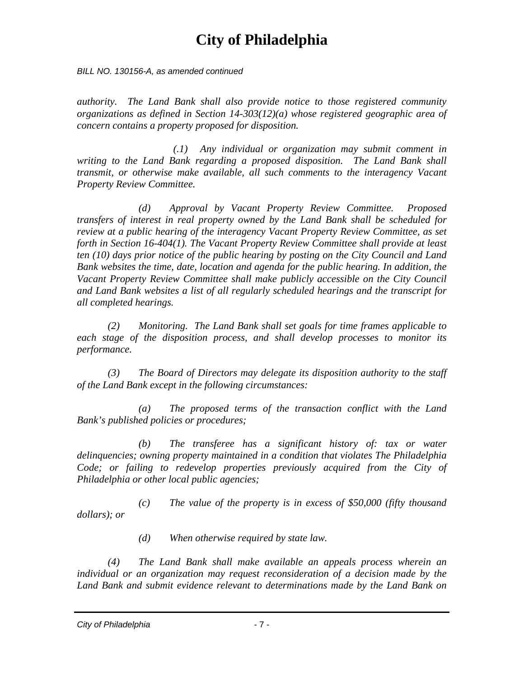*BILL NO. 130156-A, as amended continued* 

*authority. The Land Bank shall also provide notice to those registered community organizations as defined in Section 14-303(12)(a) whose registered geographic area of concern contains a property proposed for disposition.*

*(.1) Any individual or organization may submit comment in writing to the Land Bank regarding a proposed disposition. The Land Bank shall transmit, or otherwise make available, all such comments to the interagency Vacant Property Review Committee.* 

*(d) Approval by Vacant Property Review Committee. Proposed transfers of interest in real property owned by the Land Bank shall be scheduled for review at a public hearing of the interagency Vacant Property Review Committee, as set forth in Section 16-404(1). The Vacant Property Review Committee shall provide at least ten (10) days prior notice of the public hearing by posting on the City Council and Land Bank websites the time, date, location and agenda for the public hearing. In addition, the Vacant Property Review Committee shall make publicly accessible on the City Council and Land Bank websites a list of all regularly scheduled hearings and the transcript for all completed hearings.* 

*(2) Monitoring. The Land Bank shall set goals for time frames applicable to each stage of the disposition process, and shall develop processes to monitor its performance.*

*(3) The Board of Directors may delegate its disposition authority to the staff of the Land Bank except in the following circumstances:*

*(a) The proposed terms of the transaction conflict with the Land Bank's published policies or procedures;* 

*(b) The transferee has a significant history of: tax or water delinquencies; owning property maintained in a condition that violates The Philadelphia Code; or failing to redevelop properties previously acquired from the City of Philadelphia or other local public agencies;*

*(c) The value of the property is in excess of \$50,000 (fifty thousand dollars); or*

*(d) When otherwise required by state law.* 

*(4) The Land Bank shall make available an appeals process wherein an individual or an organization may request reconsideration of a decision made by the Land Bank and submit evidence relevant to determinations made by the Land Bank on*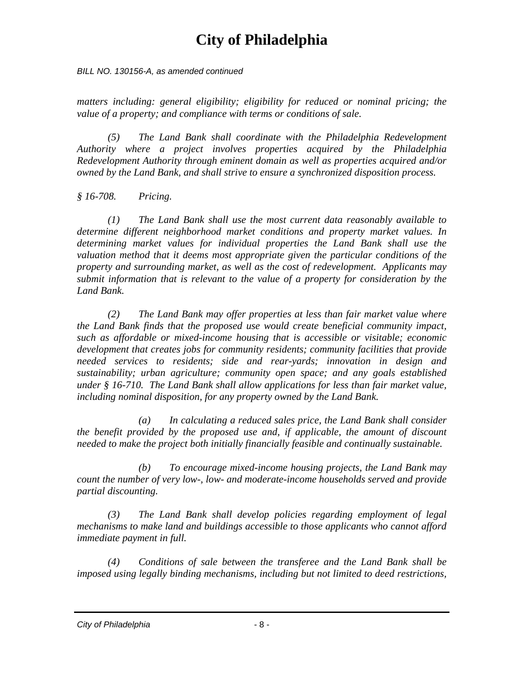*BILL NO. 130156-A, as amended continued* 

*matters including: general eligibility; eligibility for reduced or nominal pricing; the value of a property; and compliance with terms or conditions of sale.* 

*(5) The Land Bank shall coordinate with the Philadelphia Redevelopment Authority where a project involves properties acquired by the Philadelphia Redevelopment Authority through eminent domain as well as properties acquired and/or owned by the Land Bank, and shall strive to ensure a synchronized disposition process.*

*§ 16-708. Pricing.*

 *(1) The Land Bank shall use the most current data reasonably available to determine different neighborhood market conditions and property market values. In determining market values for individual properties the Land Bank shall use the valuation method that it deems most appropriate given the particular conditions of the property and surrounding market, as well as the cost of redevelopment. Applicants may submit information that is relevant to the value of a property for consideration by the Land Bank.*

 *(2) The Land Bank may offer properties at less than fair market value where the Land Bank finds that the proposed use would create beneficial community impact, such as affordable or mixed-income housing that is accessible or visitable; economic development that creates jobs for community residents; community facilities that provide needed services to residents; side and rear-yards; innovation in design and sustainability; urban agriculture; community open space; and any goals established under § 16-710. The Land Bank shall allow applications for less than fair market value, including nominal disposition, for any property owned by the Land Bank.*

 *(a) In calculating a reduced sales price, the Land Bank shall consider the benefit provided by the proposed use and, if applicable, the amount of discount needed to make the project both initially financially feasible and continually sustainable.*

 *(b) To encourage mixed-income housing projects, the Land Bank may count the number of very low-, low- and moderate-income households served and provide partial discounting.*

 *(3) The Land Bank shall develop policies regarding employment of legal mechanisms to make land and buildings accessible to those applicants who cannot afford immediate payment in full.*

 *(4) Conditions of sale between the transferee and the Land Bank shall be imposed using legally binding mechanisms, including but not limited to deed restrictions,* 

*City of Philadelphia* - 8 -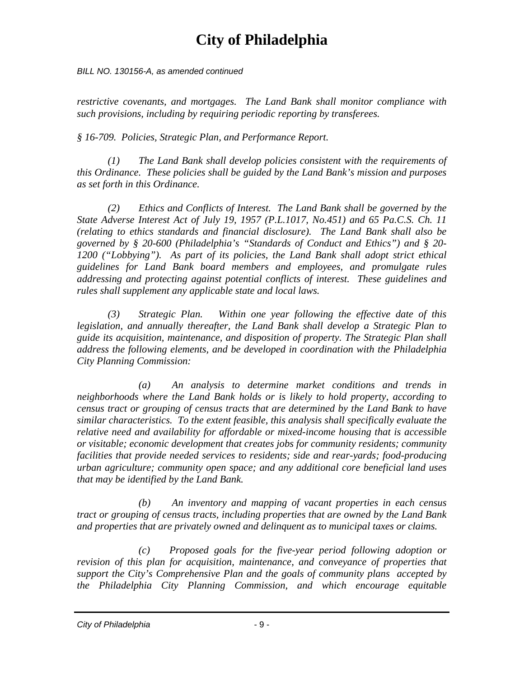*BILL NO. 130156-A, as amended continued* 

*restrictive covenants, and mortgages. The Land Bank shall monitor compliance with such provisions, including by requiring periodic reporting by transferees.*

*§ 16-709. Policies, Strategic Plan, and Performance Report.*

*(1) The Land Bank shall develop policies consistent with the requirements of this Ordinance. These policies shall be guided by the Land Bank's mission and purposes as set forth in this Ordinance.* 

 *(2) Ethics and Conflicts of Interest. The Land Bank shall be governed by the State Adverse Interest Act of July 19, 1957 (P.L.1017, No.451) and 65 Pa.C.S. Ch. 11 (relating to ethics standards and financial disclosure). The Land Bank shall also be governed by § 20-600 (Philadelphia's "Standards of Conduct and Ethics") and § 20- 1200 ("Lobbying"). As part of its policies, the Land Bank shall adopt strict ethical guidelines for Land Bank board members and employees, and promulgate rules addressing and protecting against potential conflicts of interest. These guidelines and rules shall supplement any applicable state and local laws.* 

 *(3) Strategic Plan. Within one year following the effective date of this legislation, and annually thereafter, the Land Bank shall develop a Strategic Plan to guide its acquisition, maintenance, and disposition of property. The Strategic Plan shall address the following elements, and be developed in coordination with the Philadelphia City Planning Commission:*

*(a) An analysis to determine market conditions and trends in neighborhoods where the Land Bank holds or is likely to hold property, according to census tract or grouping of census tracts that are determined by the Land Bank to have similar characteristics. To the extent feasible, this analysis shall specifically evaluate the relative need and availability for affordable or mixed-income housing that is accessible or visitable; economic development that creates jobs for community residents; community facilities that provide needed services to residents; side and rear-yards; food-producing urban agriculture; community open space; and any additional core beneficial land uses that may be identified by the Land Bank.* 

*(b) An inventory and mapping of vacant properties in each census tract or grouping of census tracts, including properties that are owned by the Land Bank and properties that are privately owned and delinquent as to municipal taxes or claims.*

*(c) Proposed goals for the five-year period following adoption or revision of this plan for acquisition, maintenance, and conveyance of properties that support the City's Comprehensive Plan and the goals of community plans accepted by the Philadelphia City Planning Commission, and which encourage equitable*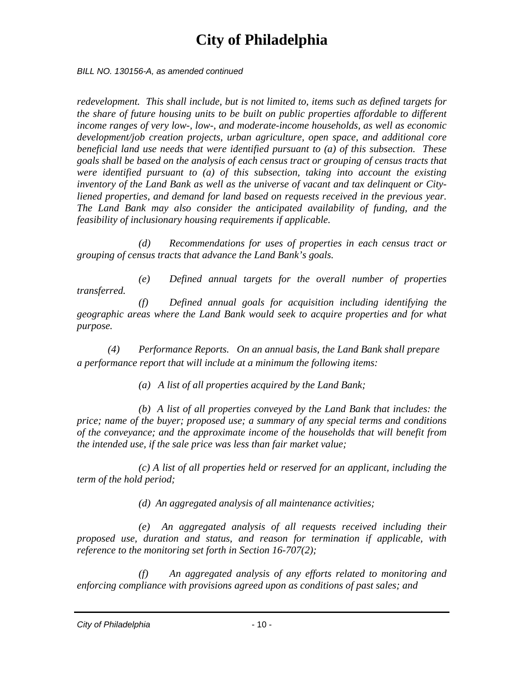*BILL NO. 130156-A, as amended continued* 

*redevelopment. This shall include, but is not limited to, items such as defined targets for the share of future housing units to be built on public properties affordable to different income ranges of very low-, low-, and moderate-income households, as well as economic development/job creation projects, urban agriculture, open space, and additional core beneficial land use needs that were identified pursuant to (a) of this subsection. These goals shall be based on the analysis of each census tract or grouping of census tracts that were identified pursuant to (a) of this subsection, taking into account the existing inventory of the Land Bank as well as the universe of vacant and tax delinquent or Cityliened properties, and demand for land based on requests received in the previous year. The Land Bank may also consider the anticipated availability of funding, and the feasibility of inclusionary housing requirements if applicable.*

*(d) Recommendations for uses of properties in each census tract or grouping of census tracts that advance the Land Bank's goals.* 

*(e) Defined annual targets for the overall number of properties transferred.* 

*(f) Defined annual goals for acquisition including identifying the geographic areas where the Land Bank would seek to acquire properties and for what purpose.* 

*(4) Performance Reports. On an annual basis, the Land Bank shall prepare a performance report that will include at a minimum the following items:* 

*(a) A list of all properties acquired by the Land Bank;* 

*(b) A list of all properties conveyed by the Land Bank that includes: the price; name of the buyer; proposed use; a summary of any special terms and conditions of the conveyance; and the approximate income of the households that will benefit from the intended use, if the sale price was less than fair market value;* 

*(c) A list of all properties held or reserved for an applicant, including the term of the hold period;* 

*(d) An aggregated analysis of all maintenance activities;* 

*(e) An aggregated analysis of all requests received including their proposed use, duration and status, and reason for termination if applicable, with reference to the monitoring set forth in Section 16-707(2);* 

*(f) An aggregated analysis of any efforts related to monitoring and enforcing compliance with provisions agreed upon as conditions of past sales; and*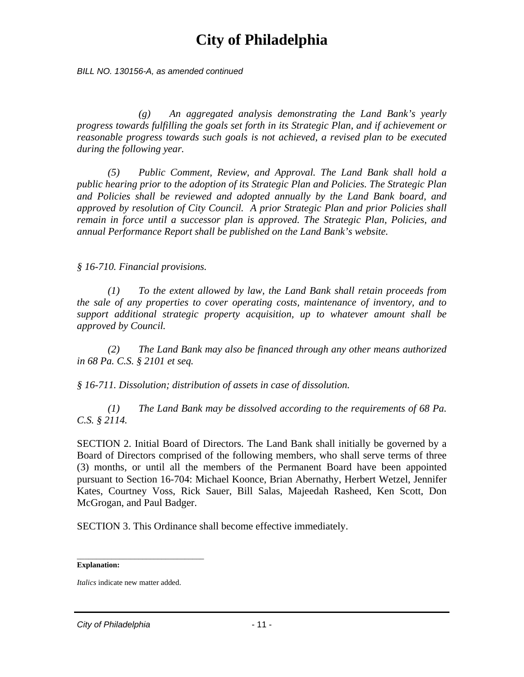*BILL NO. 130156-A, as amended continued* 

*(g) An aggregated analysis demonstrating the Land Bank's yearly progress towards fulfilling the goals set forth in its Strategic Plan, and if achievement or reasonable progress towards such goals is not achieved, a revised plan to be executed during the following year.*

*(5) Public Comment, Review, and Approval. The Land Bank shall hold a public hearing prior to the adoption of its Strategic Plan and Policies. The Strategic Plan and Policies shall be reviewed and adopted annually by the Land Bank board, and approved by resolution of City Council. A prior Strategic Plan and prior Policies shall remain in force until a successor plan is approved. The Strategic Plan, Policies, and annual Performance Report shall be published on the Land Bank's website.* 

*§ 16-710. Financial provisions.*

*(1) To the extent allowed by law, the Land Bank shall retain proceeds from the sale of any properties to cover operating costs, maintenance of inventory, and to support additional strategic property acquisition, up to whatever amount shall be approved by Council.* 

*(2) The Land Bank may also be financed through any other means authorized in 68 Pa. C.S. § 2101 et seq.* 

*§ 16-711. Dissolution; distribution of assets in case of dissolution.*

 *(1) The Land Bank may be dissolved according to the requirements of 68 Pa. C.S. § 2114.*

SECTION 2. Initial Board of Directors. The Land Bank shall initially be governed by a Board of Directors comprised of the following members, who shall serve terms of three (3) months, or until all the members of the Permanent Board have been appointed pursuant to Section 16-704: Michael Koonce, Brian Abernathy, Herbert Wetzel, Jennifer Kates, Courtney Voss, Rick Sauer, Bill Salas, Majeedah Rasheed, Ken Scott, Don McGrogan, and Paul Badger.

SECTION 3. This Ordinance shall become effective immediately.

\_\_\_\_\_\_\_\_\_\_\_\_\_\_\_\_\_\_\_\_\_\_\_\_\_\_\_\_\_\_\_\_\_

**Explanation:**

*Italics* indicate new matter added.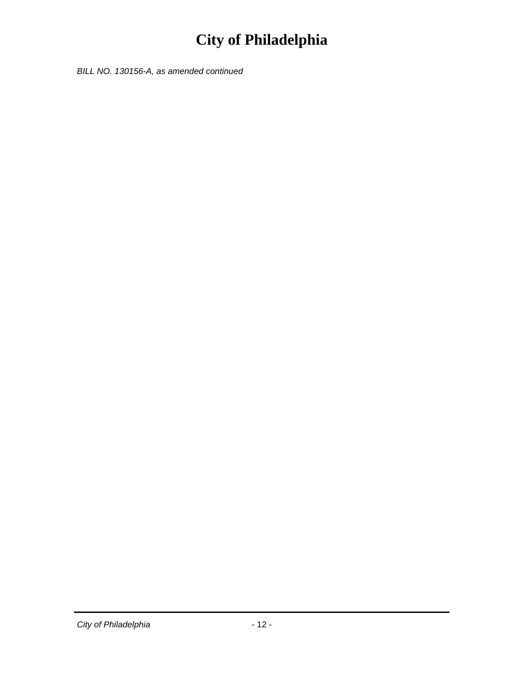*BILL NO. 130156-A, as amended continued*